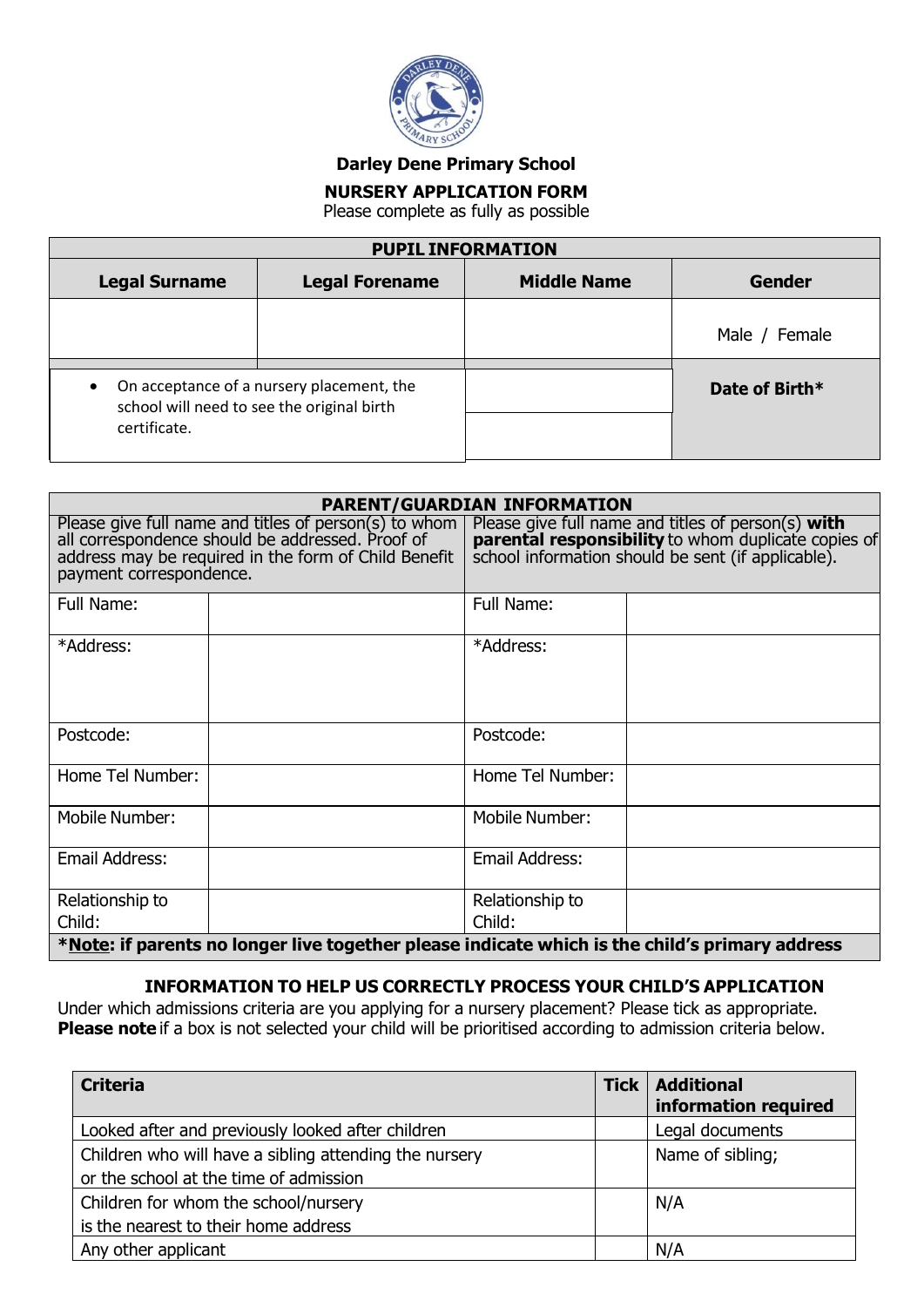

**Darley Dene Primary School**

## **NURSERY APPLICATION FORM**

Please complete as fully as possible

| <b>PUPIL INFORMATION</b>                                                |                                           |                    |                |
|-------------------------------------------------------------------------|-------------------------------------------|--------------------|----------------|
| <b>Legal Surname</b>                                                    | <b>Legal Forename</b>                     | <b>Middle Name</b> | <b>Gender</b>  |
|                                                                         |                                           |                    | Male / Female  |
| $\bullet$<br>school will need to see the original birth<br>certificate. | On acceptance of a nursery placement, the |                    | Date of Birth* |

| <b>PARENT/GUARDIAN INFORMATION</b>                                                                                                                                                           |  |                                                                                                                                                                 |  |
|----------------------------------------------------------------------------------------------------------------------------------------------------------------------------------------------|--|-----------------------------------------------------------------------------------------------------------------------------------------------------------------|--|
| Please give full name and titles of person(s) to whom<br>all correspondence should be addressed. Proof of<br>address may be required in the form of Child Benefit<br>payment correspondence. |  | Please give full name and titles of person(s) with<br>parental responsibility to whom duplicate copies of<br>school information should be sent (if applicable). |  |
| Full Name:                                                                                                                                                                                   |  | Full Name:                                                                                                                                                      |  |
| *Address:                                                                                                                                                                                    |  | *Address:                                                                                                                                                       |  |
| Postcode:                                                                                                                                                                                    |  | Postcode:                                                                                                                                                       |  |
| Home Tel Number:                                                                                                                                                                             |  | Home Tel Number:                                                                                                                                                |  |
| Mobile Number:                                                                                                                                                                               |  | <b>Mobile Number:</b>                                                                                                                                           |  |
| Email Address:                                                                                                                                                                               |  | <b>Email Address:</b>                                                                                                                                           |  |
| Relationship to                                                                                                                                                                              |  | Relationship to                                                                                                                                                 |  |
| Child:                                                                                                                                                                                       |  | Child:                                                                                                                                                          |  |
| *Note: if parents no longer live together please indicate which is the child's primary address                                                                                               |  |                                                                                                                                                                 |  |

## **INFORMATION TO HELP US CORRECTLY PROCESS YOUR CHILD'S APPLICATION**

Under which admissions criteria are you applying for a nursery placement? Please tick as appropriate. **Please note** if a box is not selected your child will be prioritised according to admission criteria below.

| <b>Criteria</b>                                        | <b>Tick</b> | <b>Additional</b><br>information required |
|--------------------------------------------------------|-------------|-------------------------------------------|
| Looked after and previously looked after children      |             | Legal documents                           |
| Children who will have a sibling attending the nursery |             | Name of sibling;                          |
| or the school at the time of admission                 |             |                                           |
| Children for whom the school/nursery                   |             | N/A                                       |
| is the nearest to their home address                   |             |                                           |
| Any other applicant                                    |             | N/A                                       |